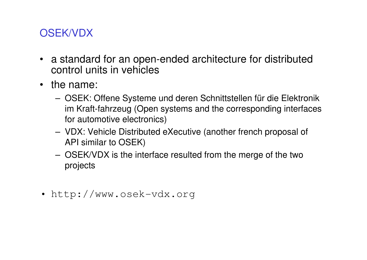# OSEK/VDX

- a standard for an open-ended architecture for distributed control units in vehicles
- the name:
	- OSEK: Offene Systeme und deren Schnittstellen für die Elektronik im Kraft-fahrzeug (Open systems and the corresponding interfaces for automotive electronics)
	- VDX: Vehicle Distributed eXecutive (another french proposal of API similar to OSEK)
	- OSEK/VDX is the interface resulted from the merge of the two projects
- http://www.osek-vdx.org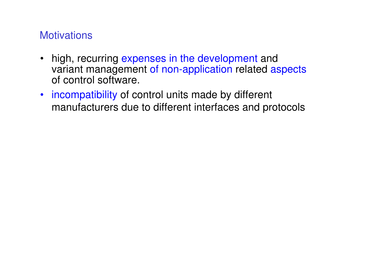# **Motivations**

- • high, recurring expenses in the development and variant management of non-application related aspects of control software.
- incompatibility of control units made by different manufacturers due to different interfaces and protocols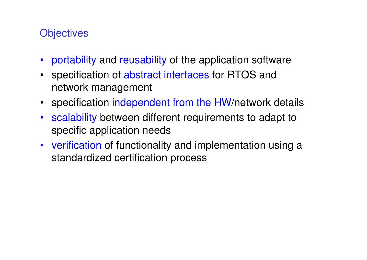# **Objectives**

- portability and reusability of the application software
- $\bullet$  specification of abstract interfaces for RTOS and network management
- specification independent from the HW/network details
- $\bullet$  scalability between different requirements to adapt to specific application needs
- verification of functionality and implementation using a standardized certification process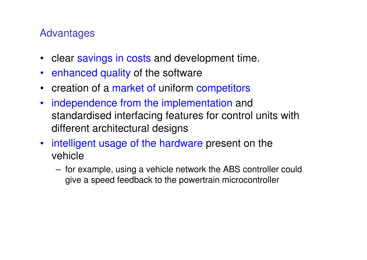# Advantages

- $\bullet$ clear savings in costs and development time.
- $\bullet$ enhanced quality of the software
- creation of a market of uniform competitors
- $\bullet$  independence from the implementation and standardised interfacing features for control units with different architectural designs
- $\bullet$  intelligent usage of the hardware present on the vehicle
	- for example, using a vehicle network the ABS controller could give a speed feedback to the powertrain microcontroller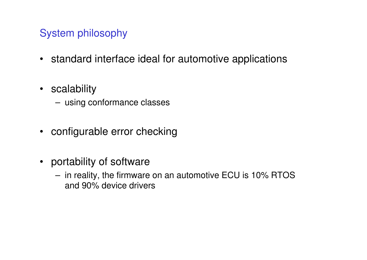# System philosophy

- standard interface ideal for automotive applications
- scalability
	- using conformance classes
- configurable error checking
- portability of software
	- in reality, the firmware on an automotive ECU is 10% RTOS and 90% device drivers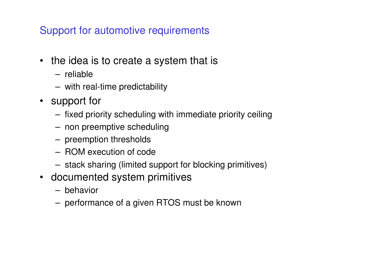# Support for automotive requirements

- the idea is to create a system that is
	- reliable
	- with real-time predictability
- support for
	- fixed priority scheduling with immediate priority ceiling
	- non preemptive scheduling
	- preemption thresholds
	- ROM execution of code
	- stack sharing (limited support for blocking primitives)
- documented system primitives
	- behavior
	- performance of a given RTOS must be known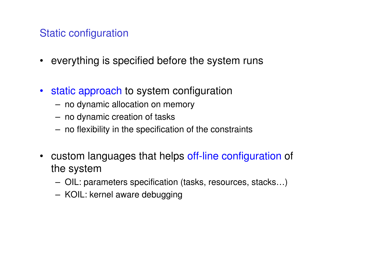# Static configuration

- everything is specified before the system runs
- static approach to system configuration
	- no dynamic allocation on memory
	- no dynamic creation of tasks
	- no flexibility in the specification of the constraints
- • custom languages that helps off-line configuration of the system
	- ( )II + 02 OIL: parameters specification (tasks, resources, stacks…)
	- KOIL: kernel aware debugging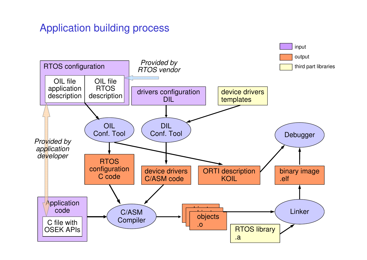# Application building process

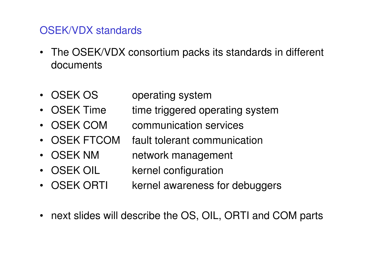# OSEK/VDX standards

- The OSEK/VDX consortium packs its standards in different documents
- OSEK OS operating system
- OSEK Time triggered operating system •
- OSEK COM communication services
- •OSEK FTCOM fault tolerant communication
- OSEK NM network management
- OSEK OIL kernel configuration
- OSEK ORTI kernel awareness for debuggers
- •next slides will describe the OS, OIL, ORTI and COM parts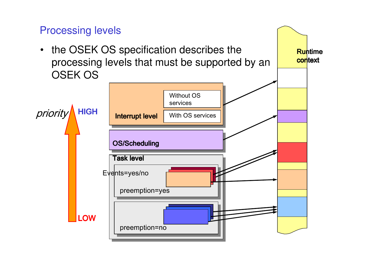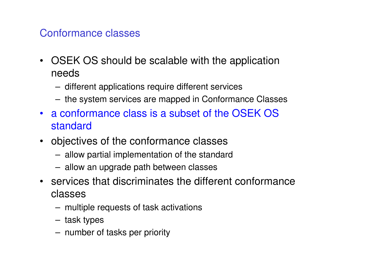# Conformance classes

- OSEK OS should be scalable with the application needs
	- different applications require different services
	- the system services are mapped in Conformance Classes
- a conformance class is a subset of the OSEK OS standard
- objectives of the conformance classes
	- allow partial implementation of the standard
	- allow an upgrade path between classes
- services that discriminates the different conformance classes
	- multiple requests of task activations
	- task types
	- number of tasks per priority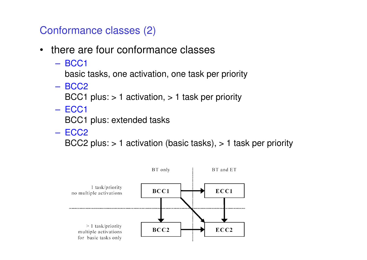Conformance classes (2)

- • there are four conformance classes
	- BCC1

basic tasks, one activation, one task per priority

BCC2

BCC1 plus: > 1 activation, > 1 task per priority

ECC1

BCC1 plus: extended tasks

ECC2

BCC2 plus: > 1 activation (basic tasks), > 1 task per priority

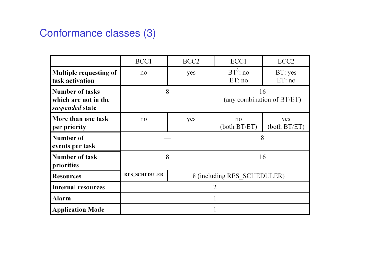# Conformance classes (3)

|                                                                   | BCC1                 | BCC <sub>2</sub>            | ECC1                                | ECC <sub>2</sub>     |
|-------------------------------------------------------------------|----------------------|-----------------------------|-------------------------------------|----------------------|
| Multiple requesting of<br>task activation                         | no                   | yes                         | $BT^3$ : no<br>ET:no                | BT: yes<br>ET:no     |
| <b>Number of tasks</b><br>which are not in the<br>suspended state | 8                    |                             | 16<br>(any combination of $BT/ET$ ) |                      |
| More than one task<br>per priority                                | no                   | yes                         | no<br>(both B T/ET)                 | yes<br>(both B T/ET) |
| Number of<br>events per task                                      |                      |                             | 8                                   |                      |
| Number of task<br>priorities                                      | 8                    |                             | 16                                  |                      |
| <b>Resources</b>                                                  | <b>RES_SCHEDULER</b> | 8 (including RES SCHEDULER) |                                     |                      |
| <b>Internal resources</b>                                         | 2                    |                             |                                     |                      |
| Alarm                                                             |                      |                             |                                     |                      |
| <b>Application Mode</b>                                           |                      |                             |                                     |                      |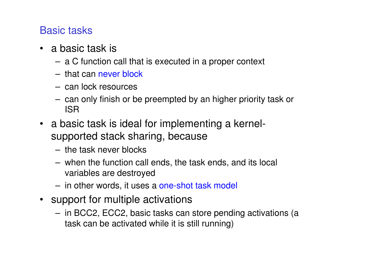# Basic tasks

- a basic task is
	- a C function call that is executed in a proper context
	- that can never block
	- can lock resources
	- can only finish or be preempted by an higher priority task or ISR
- a basic task is ideal for implementing a kernelsupported stack sharing, because
	- the task never blocks
	- when the function call ends, the task ends, and its local variables are destroyed
	- in other words, it uses a one-shot task model
- support for multiple activations
	- in BCC2, ECC2, basic tasks can store pending activations (a task can be activated while it is still running)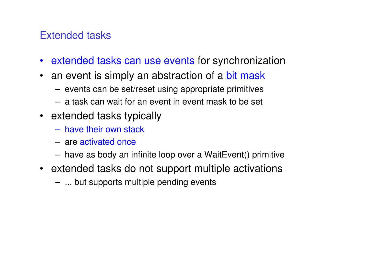# Extended tasks

- extended tasks can use events for synchronization
- $\bullet$ an event is simply an abstraction of a bit mask
	- events can be set/reset using appropriate primitives
	- a task can wait for an event in event mask to be set
- extended tasks typically
	- have their own stack
	- are activated once
	- have as body an infinite loop over a WaitEvent() primitive
- extended tasks do not support multiple activations
	- ... but supports multiple pending events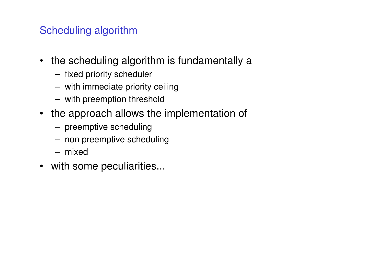# Scheduling algorithm

- the scheduling algorithm is fundamentally a
	- fixed priority scheduler
	- with immediate priority ceiling
	- with preemption threshold
- the approach allows the implementation of
	- preemptive scheduling
	- non preemptive scheduling
	- mixed
- with some peculiarities...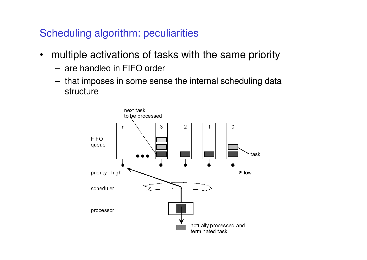Scheduling algorithm: peculiarities

- • multiple activations of tasks with the same priority
	- are handled in FIFO order
	- that imposes in some sense the internal scheduling data structure

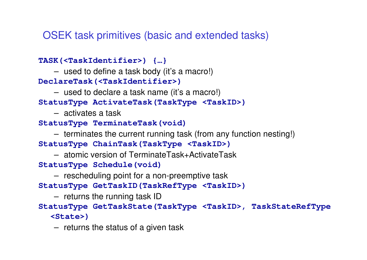OSEK task primitives (basic and extended tasks)

**TASK(<TaskIdentifier>) {…}**

– used to define a task body (it's a macro!)

**DeclareTask(<TaskIdentifier>)**

– used to declare a task name (it's a macro!)

**StatusType ActivateTask(TaskType <TaskID>)**

– activates a task

**StatusType TerminateTask(void)**

– terminates the current running task (from any function nesting!)**StatusType ChainTask(TaskType <TaskID>)**

– atomic version of TerminateTask+ActivateTask

**StatusType Schedule(void)**

– rescheduling point for a non-preemptive task

**StatusType GetTaskID(TaskRefType <TaskID>)**

– returns the running task ID

 **StatusType GetTaskState(TaskType <TaskID>, TaskStateRefType <State>)**

– returns the status of a given task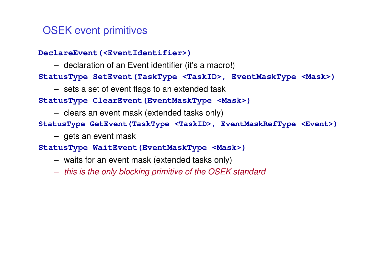# OSEK event primitives

#### **DeclareEvent(<EventIdentifier>)**

– declaration of an Event identifier (it's a macro!)

#### **StatusType SetEvent(TaskType <TaskID>, EventMaskType <Mask>)**

– sets a set of event flags to an extended task

#### **StatusType ClearEvent(EventMaskType <Mask>)**

– clears an event mask (extended tasks only)

#### **StatusType GetEvent(TaskType <TaskID>, EventMaskRefType <Event>)**

– gets an event mask

#### **StatusType WaitEvent(EventMaskType <Mask>)**

- waits for an event mask (extended tasks only)
- $\mathcal{L}_{\mathcal{A}}$  $-$  this is the only blocking primitive of the OSEK standard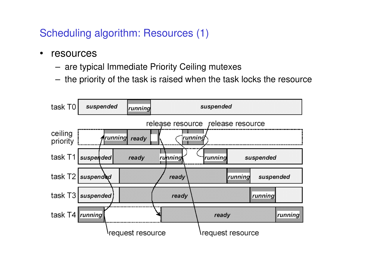Scheduling algorithm: Resources (1)

- • resources
	- are typical Immediate Priority Ceiling mutexes
	- the priority of the task is raised when the task locks the resource

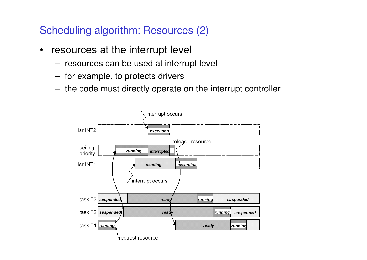Scheduling algorithm: Resources (2)

- • resources at the interrupt level
	- resources can be used at interrupt level
	- for example, to protects drivers
	- the code must directly operate on the interrupt controller

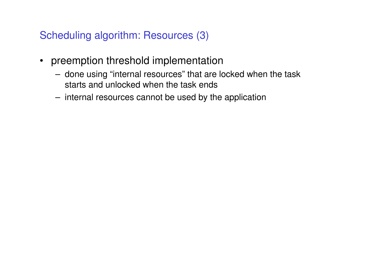Scheduling algorithm: Resources (3)

- preemption threshold implementation
	- done using "internal resources" that are locked when the task starts and unlocked when the task ends
	- internal resources cannot be used by the application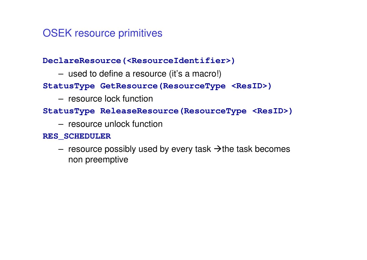# OSEK resource primitives

#### **DeclareResource(<ResourceIdentifier>)**

used to define a resource (it's a macro!)

#### **StatusType GetResource(ResourceType <ResID>)**

resource lock function

#### **StatusType ReleaseResource(ResourceType <ResID>)**

resource unlock function

#### **RES\_SCHEDULER**

resource possibly used by every task  $\rightarrow$  the task becomes non preemptive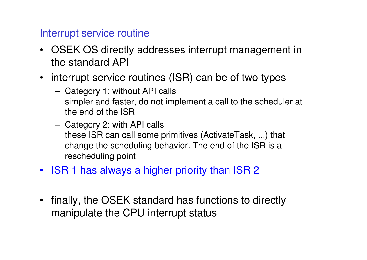# Interrupt service routine

- OSEK OS directly addresses interrupt management inthe standard API
- interrupt service routines (ISR) can be of two types
	- Category 1: without API calls simpler and faster, do not implement a call to the scheduler at the end of the ISR
	- Category 2: with API calls these ISR can call some primitives (ActivateTask, ...) that change the scheduling behavior. The end of the ISR is a rescheduling point
- ISR 1 has always a higher priority than ISR 2
- $\bullet$  finally, the OSEK standard has functions to directly manipulate the CPU interrupt status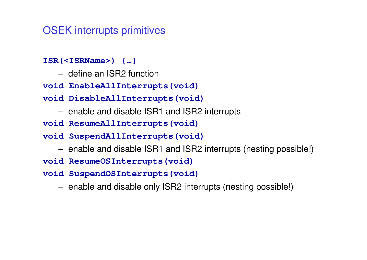## OSEK interrupts primitives

- **ISR(<ISRName>) {…}**
	- define an ISR2 function
- **void EnableAllInterrupts(void)**
- **void DisableAllInterrupts(void)**
	- enable and disable ISR1 and ISR2 interrupts
- **void ResumeAllInterrupts(void)**
- **void SuspendAllInterrupts(void)**
	- enable and disable ISR1 and ISR2 interrupts (nesting possible!)
- **void ResumeOSInterrupts(void)**
- **void SuspendOSInterrupts(void)**
	- enable and disable only ISR2 interrupts (nesting possible!)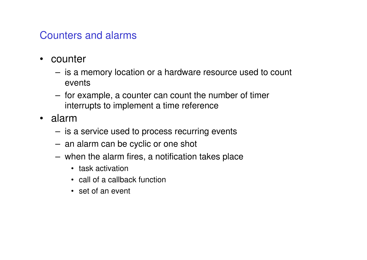# Counters and alarms

- • counter
	- is a memory location or a hardware resource used to count events
	- for example, a counter can count the number of timer interrupts to implement a time reference
- • alarm
	- –is a service used to process recurring events
	- an alarm can be cyclic or one shot
	- when the alarm fires, a notification takes place
		- task activation
		- call of a callback function
		- set of an event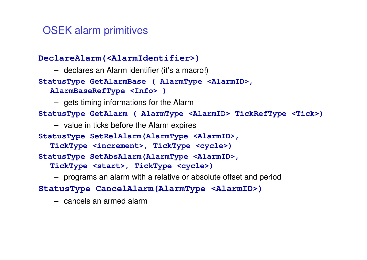# OSEK alarm primitives

```
DeclareAlarm(<AlarmIdentifier>)
```
– declares an Alarm identifier (it's a macro!)

```
StatusType GetAlarmBase ( AlarmType <AlarmID>,
```

```
AlarmBaseRefType <Info> )
```
– gets timing informations for the Alarm

**StatusType GetAlarm ( AlarmType <AlarmID> TickRefType <Tick>)**

```
– value in ticks before the Alarm expires
```
**StatusType SetRelAlarm(AlarmType <AlarmID>,** 

**TickType <increment>, TickType <cycle>)**

**StatusType SetAbsAlarm(AlarmType <AlarmID>,** 

**TickType <start>, TickType <cycle>)** 

– programs an alarm with a relative or absolute offset and period

**StatusType CancelAlarm(AlarmType <AlarmID>)**

– cancels an armed alarm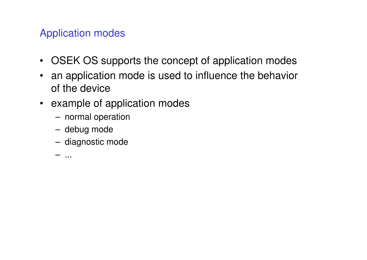# Application modes

- OSEK OS supports the concept of application modes
- an application mode is used to influence the behavior of the device
- example of application modes
	- normal operation
	- debug mode
	- diagnostic mode

...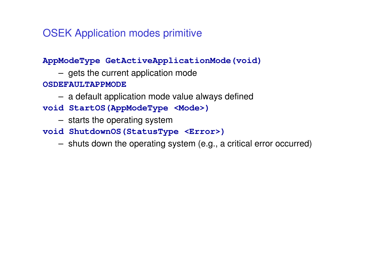OSEK Application modes primitive

**AppModeType GetActiveApplicationMode(void)**

gets the current application mode

**OSDEFAULTAPPMODE**

- a default application mode value always defined
- **void StartOS(AppModeType <Mode>)** 
	- starts the operating system
- **void ShutdownOS(StatusType <Error>)**
	- shuts down the operating system (e.g., a critical error occurred)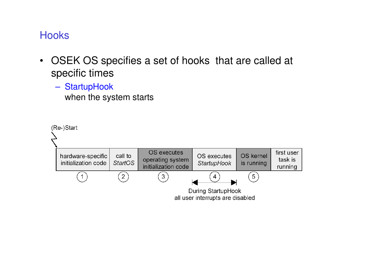# Hooks

- OSEK OS specifies a set of hooks that are called at specific times
	- **StartupHook**

when the system starts

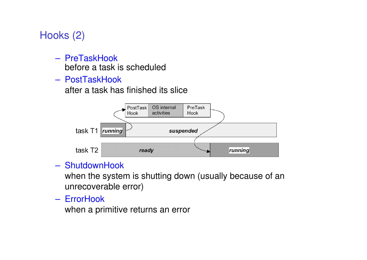# Hooks (2)

- **PreTaskHook** before a task is scheduled
- **PostTaskHook**

after a task has finished its slice



### **ShutdownHook**

 when the system is shutting down (usually because of an unrecoverable error)

**ErrorHook** 

when a primitive returns an error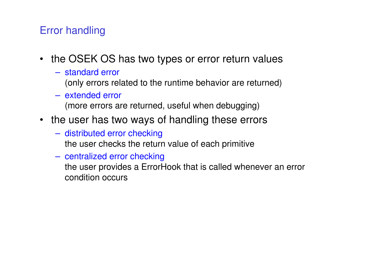# Error handling

- the OSEK OS has two types or error return values
	- standard error
		- (only errors related to the runtime behavior are returned)
	- extended error(more errors are returned, useful when debugging)
- the user has two ways of handling these errors
	- distributed error checkingthe user checks the return value of each primitive
	- centralized error checking
		- the user provides a ErrorHook that is called whenever an error condition occurs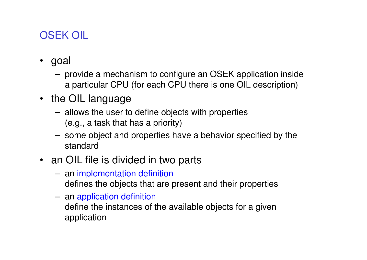# OSEK OIL

- goal
	- provide a mechanism to configure an OSEK application inside a particular CPU (for each CPU there is one OIL description)
- the OIL language
	- allows the user to define objects with properties(e.g., a task that has a priority)
	- some object and properties have a behavior specified by the standard
- an OIL file is divided in two parts
	- an implementation definitiondefines the objects that are present and their properties
	- an application definition
		- define the instances of the available objects for a given application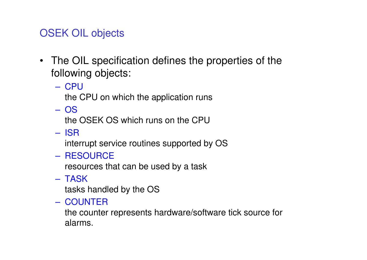# OSEK OIL objects

- The OIL specification defines the properties of the following objects:
	- CPU

the CPU on which the application runs

OS

the OSEK OS which runs on the CPU

ISR

interrupt service routines supported by OS

RESOURCE

resources that can be used by a task

TASK

tasks handled by the OS

**COUNTER** 

 the counter represents hardware/software tick source for alarms.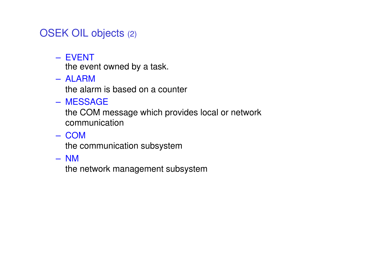# OSEK OIL objects (2)

EVENT

the event owned by a task.

ALARM

the alarm is based on a counter

MESSAGE

 the COM message which provides local or network communication

**COM** 

the communication subsystem

NM

the network management subsystem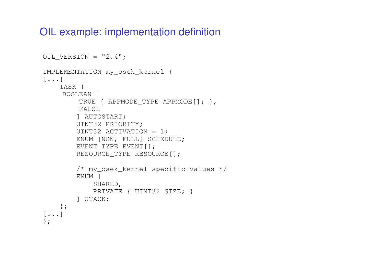## OIL example: implementation definition

```
OIL VERSION = "2.4";
IMPLEMENTATION my_osek_kernel {[...]
TASK {
BOOLEAN [
TRUE { APPMODE_TYPE APPMODE[]; },FALSE
] AUTOSTART;
UINT32 PRIORITY;
UINT32 ACTIVATION = 1;
ENUM [NON, FULL] SCHEDULE;EVENT TYPE EVENT[];

RESOURCE_TYPE RESOURCE[];/* my_osek_kernel specific values */
        ENUM [
SHARED,
PRIVATE { UINT32 SIZE; }] STACK;};\left[\ldots\right]};
```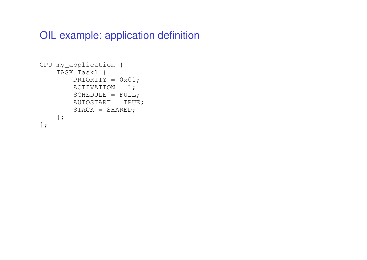## OIL example: application definition

```
CPU my_application {TASK Task1 {
PRIORITY = 0x01;
ACTIVATION = 1;
SCHEDULE = FULL;
AUTOSTART = TRUE;STACK = SHAREN;};};
```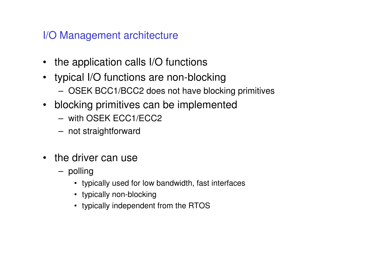# I/O Management architecture

- the application calls I/O functions
- typical I/O functions are non-blocking
	- OSEK BCC1/BCC2 does not have blocking primitives
- blocking primitives can be implemented
	- with OSEK ECC1/ECC2
	- not straightforward
- the driver can use
	- polling
		- typically used for low bandwidth, fast interfaces
		- typically non-blocking
		- typically independent from the RTOS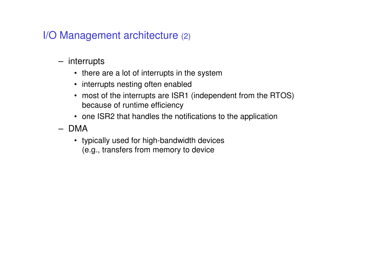# I/O Management architecture (2)

- interrupts
	- there are a lot of interrupts in the system
	- interrupts nesting often enabled
	- most of the interrupts are ISR1 (independent from the RTOS) because of runtime efficiency
	- one ISR2 that handles the notifications to the application
- DMA
	- typically used for high-bandwidth devices(e.g., transfers from memory to device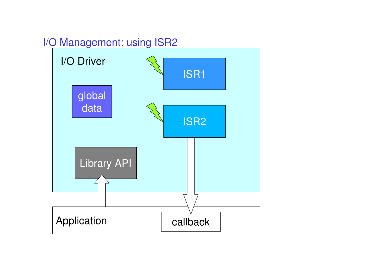# I/O Management: using ISR2

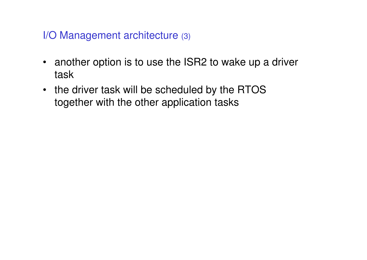I/O Management architecture (3)

- another option is to use the ISR2 to wake up a driver task
- the driver task will be scheduled by the RTOS together with the other application tasks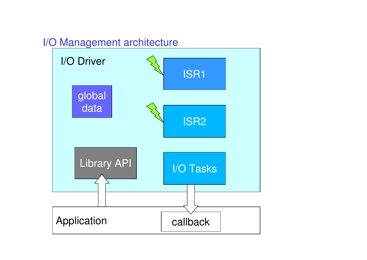# I/O Management architecture

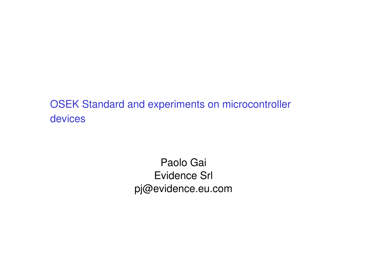OSEK Standard and experiments on microcontroller devices

> Paolo GaiEvidence Srlpj@evidence.eu.com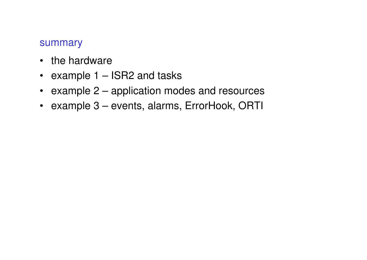#### summary

- the hardware
- example 1 ISR2 and tasks
- example 2 application modes and resources
- example 3 events, alarms, ErrorHook, ORTI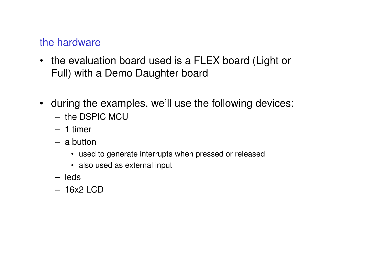## the hardware

- the evaluation board used is a FLEX board (Light or Full) with a Demo Daughter board
- during the examples, we'll use the following devices:
	- the DSPIC MCU
	- 1 timer
	- a button
		- used to generate interrupts when pressed or released
		- also used as external input
	- leds
	- 16x2 LCD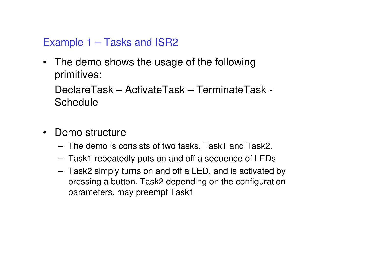# Example 1 – Tasks and ISR2

• The demo shows the usage of the followingprimitives:

DeclareTask – ActivateTask – TerminateTask -**Schedule** 

- $\bullet$  Demo structure
	- The demo is consists of two tasks, Task1 and Task2.
	- Task1 repeatedly puts on and off a sequence of LEDs
	- Task2 simply turns on and off a LED, and is activated by pressing a button. Task2 depending on the configurationparameters, may preempt Task1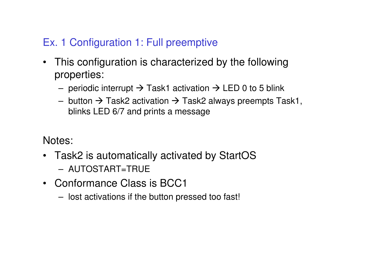# Ex. 1 Configuration 1: Full preemptive

- $\bullet$  This configuration is characterized by the followingproperties:
	- periodic interrupt → Task1 activation → LED 0 to 5 blink<br>button > Task0 setivation > Task0 shysys are are made Ta
	- button  $\rightarrow$  Task2 activation  $\rightarrow$  Task2 always preempts Task1,<br>blinks LED 6/7 and prints a message blinks LED 6/7 and prints a message

Notes:

- Task2 is automatically activated by StartOS
	- AUTOSTART=TRUE
- Conformance Class is BCC1
	- lost activations if the button pressed too fast!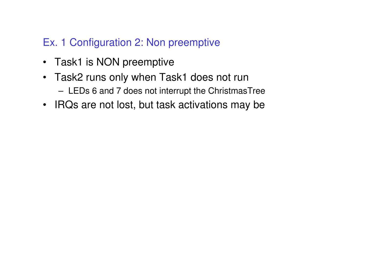# Ex. 1 Configuration 2: Non preemptive

- Task1 is NON preemptive
- Task2 runs only when Task1 does not runLEDs 6 and 7 does not interrupt the ChristmasTree
- IRQs are not lost, but task activations may be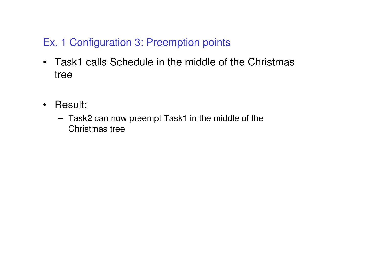# Ex. 1 Configuration 3: Preemption points

- Task1 calls Schedule in the middle of the Christmastree
- Result:
	- Task2 can now preempt Task1 in the middle of the Christmas tree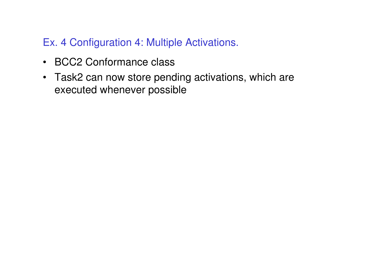# Ex. 4 Configuration 4: Multiple Activations.

- BCC2 Conformance class
- Task2 can now store pending activations, which are executed whenever possible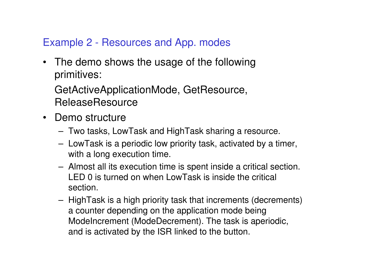# Example 2 - Resources and App. modes

• The demo shows the usage of the followingprimitives:

GetActiveApplicationMode, GetResource, **ReleaseResource** 

- Demo structure
	- Two tasks, LowTask and HighTask sharing a resource.
	- LowTask is a periodic low priority task, activated by a timer, with a long execution time.
	- – Almost all its execution time is spent inside a critical section. LED 0 is turned on when LowTask is inside the critical section.
	- HighTask is a high priority task that increments (decrements) a counter depending on the application mode being ModeIncrement (ModeDecrement). The task is aperiodic, and is activated by the ISR linked to the button.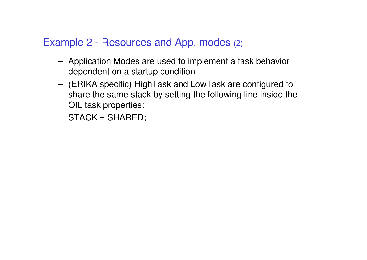# Example 2 - Resources and App. modes (2)

- Application Modes are used to implement a task behaviordependent on a startup condition
- (ERIKA specific) HighTask and LowTask are configured to share the same stack by setting the following line inside the OIL task properties:

STACK = SHARED;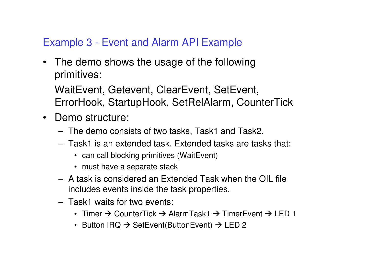# Example 3 - Event and Alarm API Example

• The demo shows the usage of the followingprimitives:

WaitEvent, Getevent, ClearEvent, SetEvent, ErrorHook, StartupHook, SetRelAlarm, CounterTick

- Demo structure:
	- The demo consists of two tasks, Task1 and Task2.
	- Task1 is an extended task. Extended tasks are tasks that:
		- can call blocking primitives (WaitEvent)
		- must have a separate stack
	- A task is considered an Extended Task when the OIL file includes events inside the task properties.
	- Task1 waits for two events:
		- Timer → CounterTick → AlarmTask1 → TimerEvent → LED 1<br>Putter IPO > SetEvent(ButterFuent) > LED 9
		- Button IRQ  $\rightarrow$  SetEvent(ButtonEvent)  $\rightarrow$  LED 2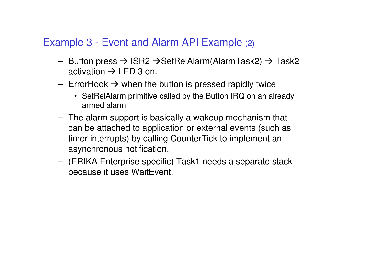# Example 3 - Event and Alarm API Example (2)

- Button press  $\rightarrow$  ISR2  $\rightarrow$  SetRelAlarm(AlarmTask2)  $\rightarrow$  Task2 activation  $\rightarrow$  LED 3 on activation → LED 3 on.<br>Erred leak Nurben the
- ErrorHook  $\rightarrow$  when the button is pressed rapidly twice
	- SetRelAlarm primitive called by the Button IRQ on an alreadyarmed alarm
- $-$  The alarm cul The alarm support is basically a wakeup mechanism that can be attached to application or external events (such <sup>a</sup>s timer interrupts) by calling CounterTick to implement anasynchronous notification.
- (ERIKA Enterprise specific) Task1 needs a separate stack because it uses WaitEvent.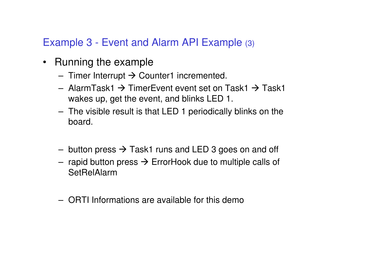# Example 3 - Event and Alarm API Example (3)

- Running the example
	- Timer Interrupt → Counter1 incremented.
	- AlarmTask1  $\rightarrow$  TimerEvent event set on Task1  $\rightarrow$  Task1 wakes up net the event and blinks LED 1 wakes up, get the event, and blinks LED 1.
	- The visible result is that LED 1 periodically blinks on the board.
	- button press  $\rightarrow$  Task1 runs and LED 3 goes on and off
	- rapid button press → ErrorHook due to multiple calls of<br>SetBelAlarm **SetRelAlarm**
	- ORTI Informations are available for this demo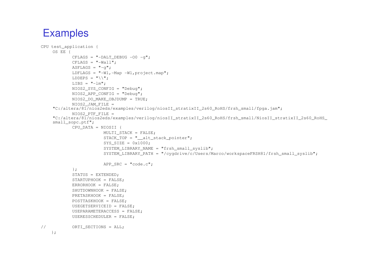```
CPU test_application {
    OS EE {CFLAGS = "-DALT DEBUG -00 -q";
            CFLAGS = "-Wall";ASFLAGS = " - q":
LDFLAGS = "-Wl,-Map -Wl,project.map";
            LDDEPS = "\wedge";
            LIBS = " - lm";
NIOS2_SYS_CONFIG = "Debug";
NIOS2_APP_CONFIG = "Debug";
NIOS2_DO_MAKE_OBJDUMP = TRUE;NIOS2_JAM_FILE = 
"C:/altera/81/nios2eds/examples/verilog/niosII_stratixII_2s60_RoHS/frsh_small/fpga.jam";NIOS2_PTF_FILE = 
"C:/altera/81/nios2eds/examples/verilog/niosII_stratixII_2s60_RoHS/frsh_small/NiosII_stratixII_2s60_RoHS_small_sopc.ptf";
CPU_DATA = NIOSII {
                        MULTI STACK = FALSE;
                        STACK TOP = " alt stack pointer";
                        SYS SIZE = 0x1000;
                        SYSTEM_LIBRARY_NAME = "frsh_small_syslib";

SYSTEM_LIBRARY_PATH = "/cygdrive/c/Users/Marco/workspaceFRSH81/frsh_small_syslib";APP SRC = "code.c";};
STATUS = EXTENDED;
STARTUPHOOK = FALSE;ERRORHOOK = FALSE;
SHUTDOWNHOOK = FALSE;
PRETASKHOOK = FALSE;
POSTTASKHOOK = FALSE;
USEGETSERVICEID = FALSE;
USEPARAMETERACCESS = FALSE;USERESSCHEDULER = FALSE;// ORTI_SECTIONS = ALL;
```

```
};
```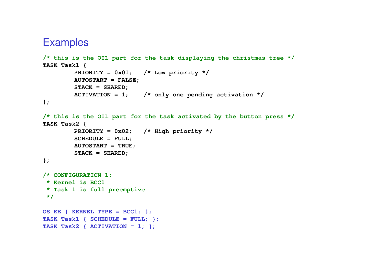```
/* this is the OIL part for the task displaying the christmas tree */
TASK Task1 {
PRIORITY = 0x01; /* Low priority */
        AUTOSTART = FALSE;STACK = SHARED;
ACTIVATION = 1; /* only one pending activation */
};/* this is the OIL part for the task activated by the button press */
TASK Task2 {
PRIORITY = 0x02; /* High priority */
        SCHEDULE = FULL;
AUTOSTART = TRUE;STACK = SHARED;};/* CONFIGURATION 1:* Kernel is BCC1
 * Task 1 is full preemptive
 */OS EE { KERNEL_TYPE = BCC1; }; 
TASK Task1 { SCHEDULE = FULL; };TASK Task2 { ACTIVATION = 1; };
```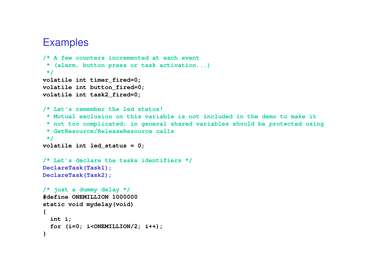```
/* A few counters incremented at each event 
* (alarm, button press or task activation...)*/
volatile int timer_fired=0;
volatile int button_fired=0;
volatile int task2_fired=0;
/* Let's remember the led status! 
* Mutual exclusion on this variable is not included in the demo to make it
 * not too complicated; in general shared variables should be protected using* GetResource/ReleaseResource calls
 */
volatile int led_status = 0;
/* Let's declare the tasks identifiers */DeclareTask(Task1);
DeclareTask(Task2);/* just a dummy delay */ 
#define ONEMILLION 1000000static void mydelay(void){int i;
  for (i=0; i<ONEMILLION/2; i++);}
```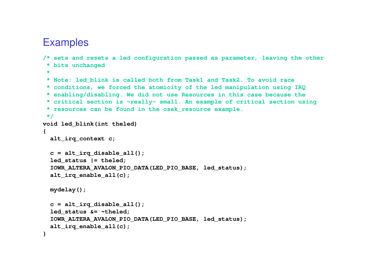```
/* sets and resets a led configuration passed as parameter, leaving the other* bits unchanged* 
* Note: led_blink is called both from Task1 and Task2. To avoid race 
* conditions, we forced the atomicity of the led manipulation using IRQ
* enabling/disabling. We did not use Resources in this case because the 
* critical section is -really- small. An example of critical section using 
* resources can be found in the osek_resource example.
*/
void led_blink(int theled)
{alt_irq_context c;
 c = alt_irq_disable_all();led_status |= theled;
 IOWR_ALTERA_AVALON_PIO_DATA(LED_PIO_BASE, led_status);alt irq enable all(c);
 mydelay();c = alt_irq_disable_all();led_status &= ~theled;
 IOWR_ALTERA_AVALON_PIO_DATA(LED_PIO_BASE, led_status);alt_irq_enable_all(c);}
```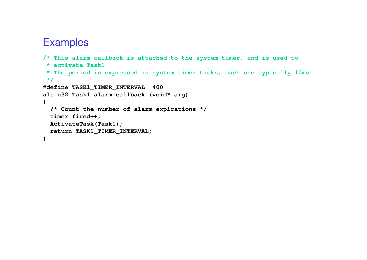```
/* This alarm callback is attached to the system timer, and is used to* activate Task1
* The period in expressed in system timer ticks, each one typically 10ms */
#define TASK1_TIMER_INTERVAL 400
alt_u32 Task1_alarm_callback (void* arg){/* Count the number of alarm expirations */timer_fired++;
ActivateTask(Task1);
return TASK1_TIMER_INTERVAL;}
```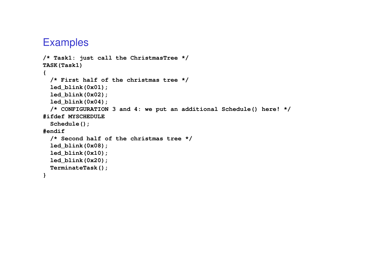```
/* Task1: just call the ChristmasTree */
TASK(Task1){/* First half of the christmas tree */
  led_blink(0x01);
led_blink(0x02);
led_blink(0x04);
/* CONFIGURATION 3 and 4: we put an additional Schedule() here! */#ifdef MYSCHEDULE
  Schedule();#endif
/* Second half of the christmas tree */
 led_blink(0x08);
led_blink(0x10);
led_blink(0x20);
TerminateTask();}
```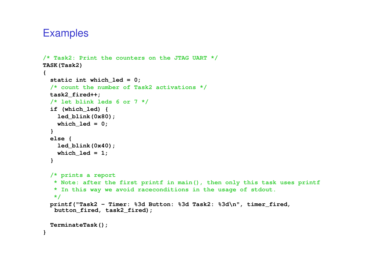```
/* Task2: Print the counters on the JTAG UART */TASK(Task2){static int which_led = 0;
 /* count the number of Task2 activations */task2_fired++;
/* let blink leds 6 or 7 */
  if (which_led) {
led_blink(0x80);which_led = 0;
  }
else {
led_blink(0x40);which \text{led} = 1;
  }/* prints a report
* Note: after the first printf in main(), then only this task uses printf
   * In this way we avoid raceconditions in the usage of stdout.
   */
printf("Task2 - Timer: %3d Button: %3d Task2: %3d\n", timer_fired, 
   button_fired, task2_fired);TerminateTask();}
```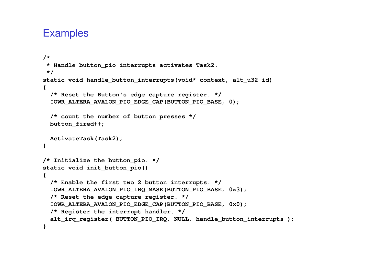```
/*
* Handle button_pio interrupts activates Task2.
*/
static void handle_button_interrupts(void* context, alt_u32 id){/* Reset the Button's edge capture register. */
IOWR_ALTERA_AVALON_PIO_EDGE_CAP(BUTTON_PIO_BASE, 0);/* count the number of button presses */button_fired++;ActivateTask(Task2); }/* Initialize the button_pio. */static void init_button_pio(){/* Enable the first two 2 button interrupts. */
IOWR_ALTERA_AVALON_PIO_IRQ_MASK(BUTTON_PIO_BASE, 0x3);/* Reset the edge capture register. */
IOWR_ALTERA_AVALON_PIO_EDGE_CAP(BUTTON_PIO_BASE, 0x0);/* Register the interrupt handler. */
alt_irq_register( BUTTON_PIO_IRQ, NULL, handle_button_interrupts ); 
}
```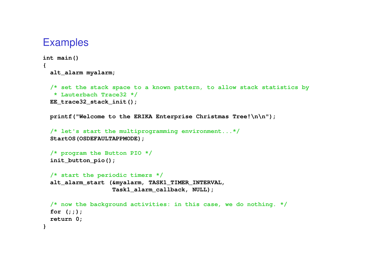```
int main()
{ alt_alarm myalarm;
```

```
/* set the stack space to a known pattern, to allow stack statistics by* Lauterbach Trace32 */
EE trace32 stack init();
```
**printf("Welcome to the ERIKA Enterprise Christmas Tree!\n\n");**

```
/* let's start the multiprogramming environment...*/StartOS(OSDEFAULTAPPMODE);
```

```
/* program the Button PIO */init_button_pio();
```

```
/* start the periodic timers */
alt_alarm_start (&myalarm, TASK1_TIMER_INTERVAL, 
                 Task1_alarm_callback, NULL);
```

```
/* now the background activities: in this case, we do nothing. */for (;;);
return 0;}
```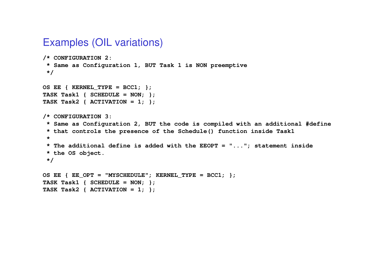#### Examples (OIL variations)

```
/* CONFIGURATION 2:
* Same as Configuration 1, BUT Task 1 is NON preemptive*/OS EE \{ KERNEL TYPE = BCC1; \};

TASK Task1 { SCHEDULE = NON; };
TASK Task2 { ACTIVATION = 1; };/* CONFIGURATION 3:
* Same as Configuration 2, BUT the code is compiled with an additional #define* that controls the presence of the Schedule() function inside Task1*
* The additional define is added with the EEOPT = "..."; statement inside * the OS object.*/OS EE { EE OPT = "MYSCHEDULE"; KERNEL TYPE = BCC1; \};
TASK Task1 { SCHEDULE = NON; };
```

```

TASK Task2 { ACTIVATION = 1; };
```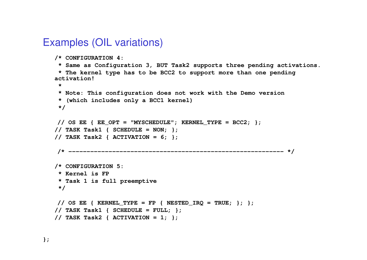#### Examples (OIL variations)

```
/* CONFIGURATION 4:
* Same as Configuration 3, BUT Task2 supports three pending activations.* The kernel type has to be BCC2 to support more than one pending activation!*
* Note: This configuration does not work with the Demo version * (which includes only a BCC1 kernel)*/// OS EE \{ EE OPT = "MYSCHEDULE"; KERNEL TYPE = BCC2; \};
// TASK Task1 { SCHEDULE = NON; };
// TASK Task2 { ACTIVATION = 6; };/* ----------------------------------------------------------- */
/* CONFIGURATION 5:* Kernel is FP
* Task 1 is full preemptive*/// OS EE { KERNEL TYPE = FP { NESTED IRQ = TRUE; \}; };
// TASK Task1 { SCHEDULE = FULL; };
// TASK Task2 { ACTIVATION = 1; };
```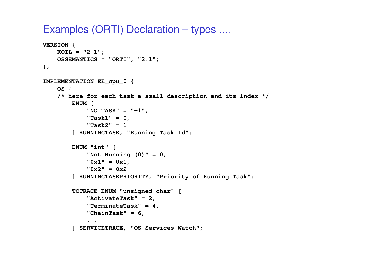### Examples (ORTI) Declaration – types ....

```
VERSION {
KOIL = "2.1";
OSSEMANTICS = "ORTI", "2.1";};IMPLEMENTATION EE_cpu_0 {OS {
/* here for each task a small description and its index */ENUM [
"NO_TASK" = "-1","Task1" = 0,
"Task2" = 1
] RUNNINGTASK, "Running Task Id";ENUM "int" [
"Not Running (0)" = 0,"0x1" = 0x1,
"0x2" = 0x2
] RUNNINGTASKPRIORITY, "Priority of Running Task";TOTRACE ENUM "unsigned char" ["ActivateTask" = 2,
"TerminateTask" = 4,"ChainTask" = 6,...
] SERVICETRACE, "OS Services Watch";
```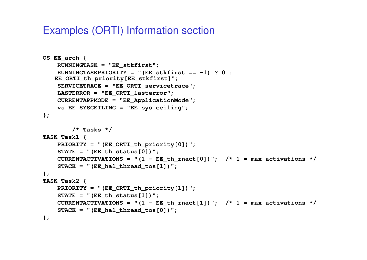## Examples (ORTI) Information section

```
OS EE_arch {
    RUNNINGTASK = "EE_stkfirst";
RUNNINGTASKPRIORITY = "(EE_stkfirst == -1) ? 0 : 
   EE_ORTI_th_priority[EE_stkfirst]";
SERVICETRACE = "EE_ORTI_servicetrace";LASTERROR = "EE_ORTI_lasterror";
CURRENTAPPMODE = "EE_ApplicationMode";vs_EE_SYSCEILING ="EE_sys_ceiling";
};/* Tasks */TASK Task1 {
PRIORITY = "(EE_ORTI_th_priority[0])";STATE = "(EE_th_status[0])";
CURRENTACTIVATIONS = "(1 - EE_th_rnact[0])"; /* 1 = max activations */
    STACK = "(EE hal threadtos[1])";
};
TASK Task2 {
PRIORITY = "(EE_ORTI_th_priority[1])";STATE = "(EEth status[1])";

CURRENTACTIVATIONS = "(1 - EE_th_rnact[1])"; /* 1 = max activations */
    STACK = "(EE_hal_\text{thread}tos[0])";};
```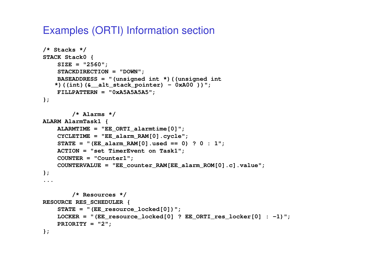## Examples (ORTI) Information section

```
/* Stacks */
STACK Stack0 {
SIZE = "2560";
STACKDIRECTION = "DOWN";
BASEADDRESS = "(unsigned int *)((unsigned int
   *)((int)(&__alt_stack_pointer) - 0xA00 ))";
   FILLPATTERN = "0xA5A5A5A5";};/* Alarms */ALARM AlarmTask1 {
ALARMTIME = "EE_ORTI_alarmtime[0]";
CYCLETIME = "EE_alarm_RAM[0].cycle";
STATE = "(EE_alarm_RAM[0].used == 0) ? 0 : 1";ACTION = "set TimerEvent on Task1";
    COUNTER = "Counter1";
COUNTERVALUE = "EE_counter_RAM[EE_alarm_ROM[0].c].value";};.../* Resources */
RESOURCE RES_SCHEDULER {
STATE = "(EE_resource_locked[0])";
LOCKER = "(EE_resource_locked[0] ? EE_ORTI_res_locker[0] : -1)";PRIORITY = "2";};
```